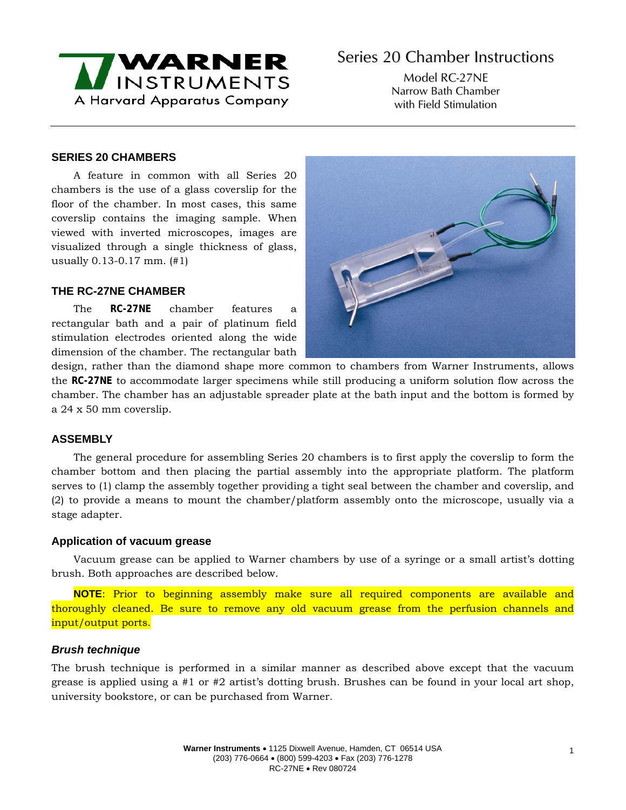

# Series 20 Chamber Instructions

Model RC-27NE Narrow Bath Chamber with Field Stimulation

### **SERIES 20 CHAMBERS**

A feature in common with all Series 20 chambers is the use of a glass coverslip for the floor of the chamber. In most cases, this same coverslip contains the imaging sample. When viewed with inverted microscopes, images are visualized through a single thickness of glass, usually 0.13-0.17 mm. (#1)

### **THE RC-27NE CHAMBER**

The **RC-27NE** chamber features a rectangular bath and a pair of platinum field stimulation electrodes oriented along the wide dimension of the chamber. The rectangular bath



design, rather than the diamond shape more common to chambers from Warner Instruments, allows the **RC-27NE** to accommodate larger specimens while still producing a uniform solution flow across the chamber. The chamber has an adjustable spreader plate at the bath input and the bottom is formed by a 24 x 50 mm coverslip.

### **ASSEMBLY**

The general procedure for assembling Series 20 chambers is to first apply the coverslip to form the chamber bottom and then placing the partial assembly into the appropriate platform. The platform serves to (1) clamp the assembly together providing a tight seal between the chamber and coverslip, and (2) to provide a means to mount the chamber/platform assembly onto the microscope, usually via a stage adapter.

#### **Application of vacuum grease**

Vacuum grease can be applied to Warner chambers by use of a syringe or a small artist's dotting brush. Both approaches are described below.

**NOTE**: Prior to beginning assembly make sure all required components are available and thoroughly cleaned. Be sure to remove any old vacuum grease from the perfusion channels and input/output ports.

### *Brush technique*

The brush technique is performed in a similar manner as described above except that the vacuum grease is applied using a #1 or #2 artist's dotting brush. Brushes can be found in your local art shop, university bookstore, or can be purchased from Warner.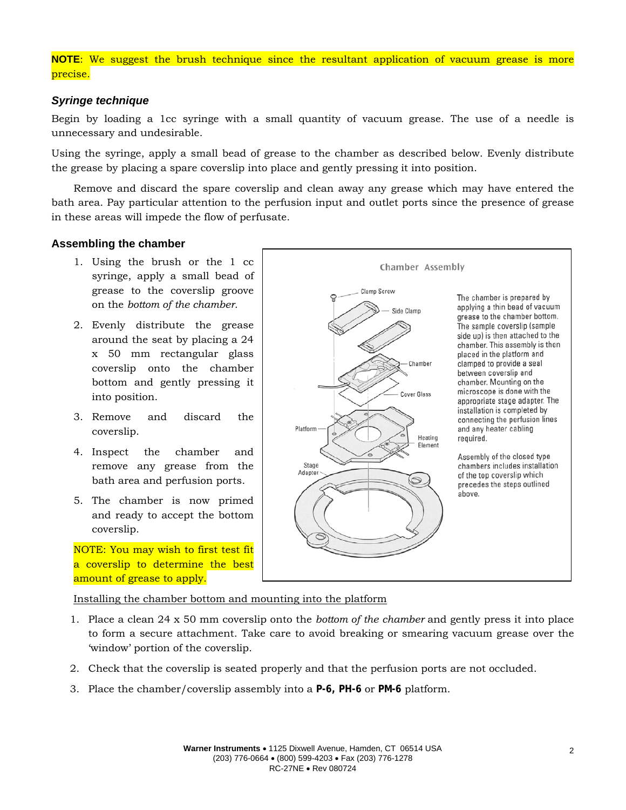### **NOTE**: We suggest the brush technique since the resultant application of vacuum grease is more precise.

### *Syringe technique*

Begin by loading a 1cc syringe with a small quantity of vacuum grease. The use of a needle is unnecessary and undesirable.

Using the syringe, apply a small bead of grease to the chamber as described below. Evenly distribute the grease by placing a spare coverslip into place and gently pressing it into position.

Remove and discard the spare coverslip and clean away any grease which may have entered the bath area. Pay particular attention to the perfusion input and outlet ports since the presence of grease in these areas will impede the flow of perfusate.

#### **Assembling the chamber**

- 1. Using the brush or the 1 cc syringe, apply a small bead of grease to the coverslip groove on the *bottom of the chamber.*
- 2. Evenly distribute the grease around the seat by placing a 24 x 50 mm rectangular glass coverslip onto the chamber bottom and gently pressing it into position.
- 3. Remove and discard the coverslip.
- 4. Inspect the chamber and remove any grease from the bath area and perfusion ports.
- 5. The chamber is now primed and ready to accept the bottom coverslip.

NOTE: You may wish to first test fit a coverslip to determine the best amount of grease to apply.

Chamber Assembly Clamp Screw The chamber is prepared by applying a thin bead of vacuum Side Clamp grease to the chamber bottom. The sample coverslip (sample side up) is then attached to the chamber. This assembly is then placed in the platform and Chamber clamped to provide a seal between coverslip and chamber. Mounting on the microscope is done with the Cover Glass appropriate stage adapter. The installation is completed by connecting the perfusion lines and any heater cabling Platforn Heating required. Element Assembly of the closed type Stage chambers includes installation Adapter of the top coverslip which  $\circ$ precedes the steps outlined above.

Installing the chamber bottom and mounting into the platform

- 1. Place a clean 24 x 50 mm coverslip onto the *bottom of the chamber* and gently press it into place to form a secure attachment. Take care to avoid breaking or smearing vacuum grease over the 'window' portion of the coverslip.
- 2. Check that the coverslip is seated properly and that the perfusion ports are not occluded.
- 3. Place the chamber/coverslip assembly into a **P-6, PH-6** or **PM-6** platform.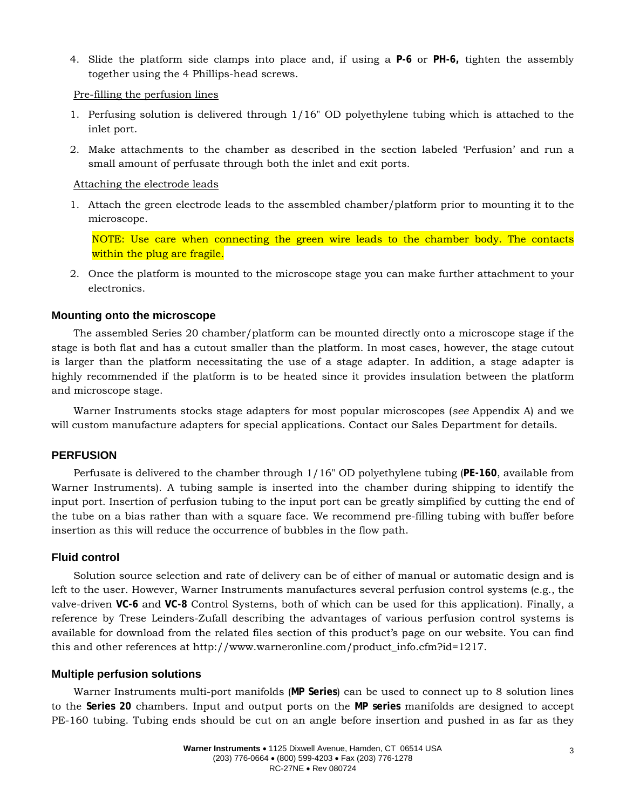4. Slide the platform side clamps into place and, if using a **P-6** or **PH-6,** tighten the assembly together using the 4 Phillips-head screws.

Pre-filling the perfusion lines

- 1. Perfusing solution is delivered through 1/16" OD polyethylene tubing which is attached to the inlet port.
- 2. Make attachments to the chamber as described in the section labeled 'Perfusion' and run a small amount of perfusate through both the inlet and exit ports.

#### Attaching the electrode leads

1. Attach the green electrode leads to the assembled chamber/platform prior to mounting it to the microscope.

NOTE: Use care when connecting the green wire leads to the chamber body. The contacts within the plug are fragile.

2. Once the platform is mounted to the microscope stage you can make further attachment to your electronics.

#### **Mounting onto the microscope**

The assembled Series 20 chamber/platform can be mounted directly onto a microscope stage if the stage is both flat and has a cutout smaller than the platform. In most cases, however, the stage cutout is larger than the platform necessitating the use of a stage adapter. In addition, a stage adapter is highly recommended if the platform is to be heated since it provides insulation between the platform and microscope stage.

Warner Instruments stocks stage adapters for most popular microscopes (*see* Appendix A) and we will custom manufacture adapters for special applications. Contact our Sales Department for details.

#### **PERFUSION**

Perfusate is delivered to the chamber through 1/16" OD polyethylene tubing (**PE-160**, available from Warner Instruments). A tubing sample is inserted into the chamber during shipping to identify the input port. Insertion of perfusion tubing to the input port can be greatly simplified by cutting the end of the tube on a bias rather than with a square face. We recommend pre-filling tubing with buffer before insertion as this will reduce the occurrence of bubbles in the flow path.

#### **Fluid control**

Solution source selection and rate of delivery can be of either of manual or automatic design and is left to the user. However, Warner Instruments manufactures several perfusion control systems (e.g., the valve-driven **VC-6** and **VC-8** Control Systems, both of which can be used for this application). Finally, a reference by Trese Leinders-Zufall describing the advantages of various perfusion control systems is available for download from the related files section of this product's page on our website. You can find this and other references at http://www.warneronline.com/product\_info.cfm?id=1217.

#### **Multiple perfusion solutions**

Warner Instruments multi-port manifolds (**MP Series**) can be used to connect up to 8 solution lines to the **Series 20** chambers. Input and output ports on the **MP series** manifolds are designed to accept PE-160 tubing. Tubing ends should be cut on an angle before insertion and pushed in as far as they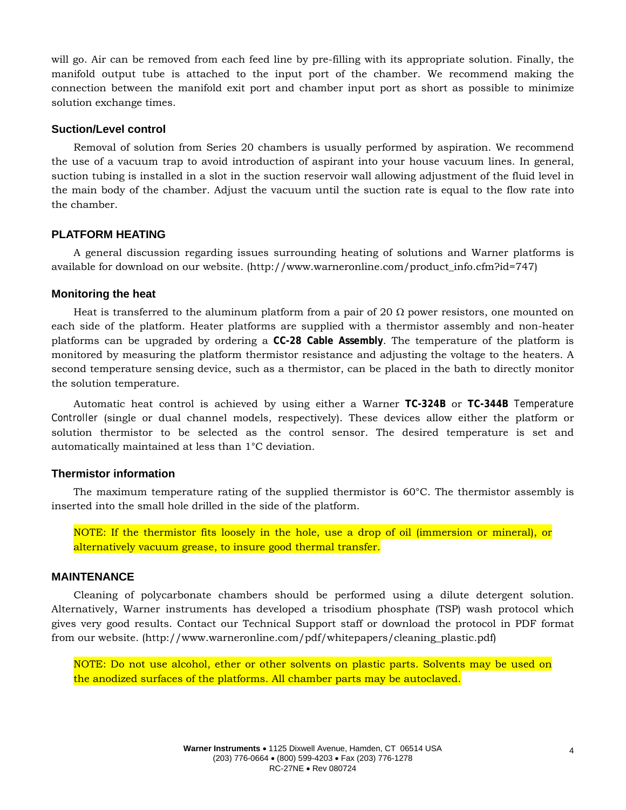will go. Air can be removed from each feed line by pre-filling with its appropriate solution. Finally, the manifold output tube is attached to the input port of the chamber. We recommend making the connection between the manifold exit port and chamber input port as short as possible to minimize solution exchange times.

#### **Suction/Level control**

Removal of solution from Series 20 chambers is usually performed by aspiration. We recommend the use of a vacuum trap to avoid introduction of aspirant into your house vacuum lines. In general, suction tubing is installed in a slot in the suction reservoir wall allowing adjustment of the fluid level in the main body of the chamber. Adjust the vacuum until the suction rate is equal to the flow rate into the chamber.

#### **PLATFORM HEATING**

A general discussion regarding issues surrounding heating of solutions and Warner platforms is available for download on our website. (http://www.warneronline.com/product\_info.cfm?id=747)

#### **Monitoring the heat**

Heat is transferred to the aluminum platform from a pair of 20  $\Omega$  power resistors, one mounted on each side of the platform. Heater platforms are supplied with a thermistor assembly and non-heater platforms can be upgraded by ordering a **CC-28 Cable Assembly**. The temperature of the platform is monitored by measuring the platform thermistor resistance and adjusting the voltage to the heaters. A second temperature sensing device, such as a thermistor, can be placed in the bath to directly monitor the solution temperature.

Automatic heat control is achieved by using either a Warner **TC-324B** or **TC-344B** Temperature Controller (single or dual channel models, respectively). These devices allow either the platform or solution thermistor to be selected as the control sensor. The desired temperature is set and automatically maintained at less than 1°C deviation.

#### **Thermistor information**

The maximum temperature rating of the supplied thermistor is 60°C. The thermistor assembly is inserted into the small hole drilled in the side of the platform.

NOTE: If the thermistor fits loosely in the hole, use a drop of oil (immersion or mineral), or alternatively vacuum grease, to insure good thermal transfer.

#### **MAINTENANCE**

Cleaning of polycarbonate chambers should be performed using a dilute detergent solution. Alternatively, Warner instruments has developed a trisodium phosphate (TSP) wash protocol which gives very good results. Contact our Technical Support staff or download the protocol in PDF format from our website. (http://www.warneronline.com/pdf/whitepapers/cleaning\_plastic.pdf)

NOTE: Do not use alcohol, ether or other solvents on plastic parts. Solvents may be used on the anodized surfaces of the platforms. All chamber parts may be autoclaved.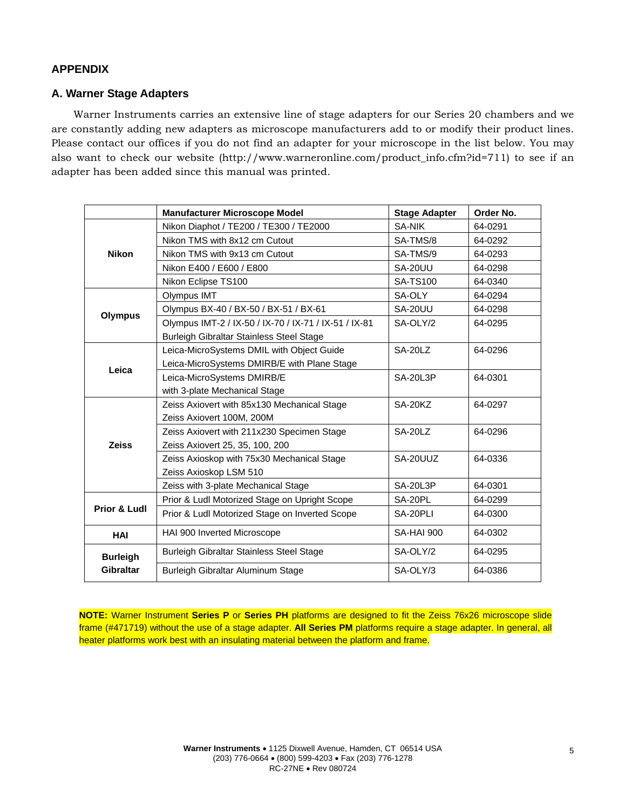### **APPENDIX**

### **A. Warner Stage Adapters**

Warner Instruments carries an extensive line of stage adapters for our Series 20 chambers and we are constantly adding new adapters as microscope manufacturers add to or modify their product lines. Please contact our offices if you do not find an adapter for your microscope in the list below. You may also want to check our website (http://www.warneronline.com/product\_info.cfm?id=711) to see if an adapter has been added since this manual was printed.

|                              | <b>Manufacturer Microscope Model</b>                  | <b>Stage Adapter</b> | Order No. |
|------------------------------|-------------------------------------------------------|----------------------|-----------|
| <b>Nikon</b>                 | Nikon Diaphot / TE200 / TE300 / TE2000                | <b>SA-NIK</b>        | 64-0291   |
|                              | Nikon TMS with 8x12 cm Cutout                         | SA-TMS/8             | 64-0292   |
|                              | Nikon TMS with 9x13 cm Cutout                         | SA-TMS/9             | 64-0293   |
|                              | Nikon E400 / E600 / E800                              | SA-20UU              | 64-0298   |
|                              | Nikon Eclipse TS100                                   | <b>SA-TS100</b>      | 64-0340   |
| <b>Olympus</b>               | Olympus IMT                                           | SA-OLY               | 64-0294   |
|                              | Olympus BX-40 / BX-50 / BX-51 / BX-61                 | SA-20UU              | 64-0298   |
|                              | Olympus IMT-2 / IX-50 / IX-70 / IX-71 / IX-51 / IX-81 | SA-OLY/2             | 64-0295   |
|                              | Burleigh Gibraltar Stainless Steel Stage              |                      |           |
| Leica                        | Leica-MicroSystems DMIL with Object Guide             | SA-20LZ              | 64-0296   |
|                              | Leica-MicroSystems DMIRB/E with Plane Stage           |                      |           |
|                              | Leica-MicroSystems DMIRB/E                            | SA-20L3P             | 64-0301   |
|                              | with 3-plate Mechanical Stage                         |                      |           |
| <b>Zeiss</b>                 | Zeiss Axiovert with 85x130 Mechanical Stage           | SA-20KZ              | 64-0297   |
|                              | Zeiss Axiovert 100M, 200M                             |                      |           |
|                              | Zeiss Axiovert with 211x230 Specimen Stage            | SA-20LZ              | 64-0296   |
|                              | Zeiss Axiovert 25, 35, 100, 200                       |                      |           |
|                              | Zeiss Axioskop with 75x30 Mechanical Stage            | SA-20UUZ             | 64-0336   |
|                              | Zeiss Axioskop LSM 510                                |                      |           |
|                              | Zeiss with 3-plate Mechanical Stage                   | <b>SA-20L3P</b>      | 64-0301   |
| <b>Prior &amp; Ludl</b>      | Prior & Ludl Motorized Stage on Upright Scope         | SA-20PL              | 64-0299   |
|                              | Prior & Ludl Motorized Stage on Inverted Scope        | SA-20PLI             | 64-0300   |
| <b>HAI</b>                   | HAI 900 Inverted Microscope<br><b>SA-HAI 900</b>      |                      | 64-0302   |
| <b>Burleigh</b><br>Gibraltar | Burleigh Gibraltar Stainless Steel Stage              | SA-OLY/2             | 64-0295   |
|                              | Burleigh Gibraltar Aluminum Stage                     | SA-OLY/3             | 64-0386   |

**NOTE:** Warner Instrument **Series P** or **Series PH** platforms are designed to fit the Zeiss 76x26 microscope slide frame (#471719) without the use of a stage adapter. **All Series PM** platforms require a stage adapter. In general, all heater platforms work best with an insulating material between the platform and frame.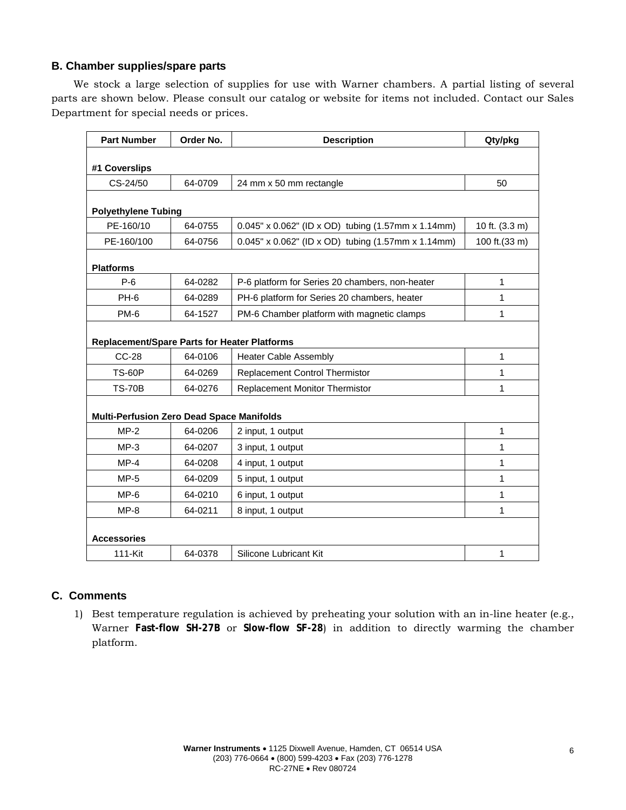### **B. Chamber supplies/spare parts**

We stock a large selection of supplies for use with Warner chambers. A partial listing of several parts are shown below. Please consult our catalog or website for items not included. Contact our Sales Department for special needs or prices.

| <b>Part Number</b>                                  | Order No. | <b>Description</b>                                 | Qty/pkg        |
|-----------------------------------------------------|-----------|----------------------------------------------------|----------------|
| #1 Coverslips                                       |           |                                                    |                |
| CS-24/50                                            | 64-0709   | 24 mm x 50 mm rectangle                            | 50             |
| <b>Polyethylene Tubing</b>                          |           |                                                    |                |
| PE-160/10                                           | 64-0755   | 0.045" x 0.062" (ID x OD) tubing (1.57mm x 1.14mm) | 10 ft. (3.3 m) |
| PE-160/100                                          | 64-0756   | 0.045" x 0.062" (ID x OD) tubing (1.57mm x 1.14mm) | 100 ft.(33 m)  |
| <b>Platforms</b>                                    |           |                                                    |                |
| $P-6$                                               | 64-0282   | P-6 platform for Series 20 chambers, non-heater    | 1              |
| PH-6                                                | 64-0289   | PH-6 platform for Series 20 chambers, heater       | 1              |
| PM-6                                                | 64-1527   | PM-6 Chamber platform with magnetic clamps         | $\mathbf{1}$   |
| <b>Replacement/Spare Parts for Heater Platforms</b> |           |                                                    |                |
| $CC-28$                                             | 64-0106   | <b>Heater Cable Assembly</b>                       | 1              |
| <b>TS-60P</b>                                       | 64-0269   | <b>Replacement Control Thermistor</b>              | 1              |
| <b>TS-70B</b>                                       | 64-0276   | Replacement Monitor Thermistor                     | 1              |
| <b>Multi-Perfusion Zero Dead Space Manifolds</b>    |           |                                                    |                |
| $MP-2$                                              | 64-0206   | 2 input, 1 output                                  | $\mathbf{1}$   |
| $MP-3$                                              | 64-0207   | 3 input, 1 output                                  | 1              |
| $MP-4$                                              | 64-0208   | 4 input, 1 output                                  | 1              |
| $MP-5$                                              | 64-0209   | 5 input, 1 output                                  | 1              |
| $MP-6$                                              | 64-0210   | 6 input, 1 output                                  | 1              |
| $MP-8$                                              | 64-0211   | 8 input, 1 output                                  | 1              |
| <b>Accessories</b>                                  |           |                                                    |                |
| 111-Kit                                             | 64-0378   | Silicone Lubricant Kit                             | 1              |

### **C. Comments**

1) Best temperature regulation is achieved by preheating your solution with an in-line heater (e.g., Warner **Fast-flow SH-27B** or **Slow-flow SF-28**) in addition to directly warming the chamber platform.